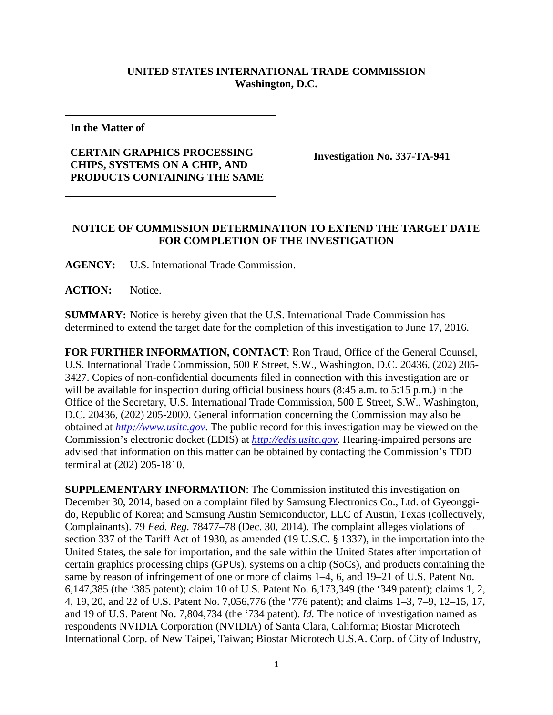## **UNITED STATES INTERNATIONAL TRADE COMMISSION Washington, D.C.**

**In the Matter of**

## **CERTAIN GRAPHICS PROCESSING CHIPS, SYSTEMS ON A CHIP, AND PRODUCTS CONTAINING THE SAME**

**Investigation No. 337-TA-941**

## **NOTICE OF COMMISSION DETERMINATION TO EXTEND THE TARGET DATE FOR COMPLETION OF THE INVESTIGATION**

**AGENCY:** U.S. International Trade Commission.

**ACTION:** Notice.

**SUMMARY:** Notice is hereby given that the U.S. International Trade Commission has determined to extend the target date for the completion of this investigation to June 17, 2016.

**FOR FURTHER INFORMATION, CONTACT**: Ron Traud, Office of the General Counsel, U.S. International Trade Commission, 500 E Street, S.W., Washington, D.C. 20436, (202) 205- 3427. Copies of non-confidential documents filed in connection with this investigation are or will be available for inspection during official business hours (8:45 a.m. to 5:15 p.m.) in the Office of the Secretary, U.S. International Trade Commission, 500 E Street, S.W., Washington, D.C. 20436, (202) 205-2000. General information concerning the Commission may also be obtained at *[http://www.usitc.gov](http://www.usitc.gov/)*. The public record for this investigation may be viewed on the Commission's electronic docket (EDIS) at *[http://edis.usitc.gov](http://edis.usitc.gov/)*. Hearing-impaired persons are advised that information on this matter can be obtained by contacting the Commission's TDD terminal at (202) 205-1810.

**SUPPLEMENTARY INFORMATION**: The Commission instituted this investigation on December 30, 2014, based on a complaint filed by Samsung Electronics Co., Ltd. of Gyeonggido, Republic of Korea; and Samsung Austin Semiconductor, LLC of Austin, Texas (collectively, Complainants). 79 *Fed. Reg.* 78477–78 (Dec. 30, 2014). The complaint alleges violations of section 337 of the Tariff Act of 1930, as amended (19 U.S.C. § 1337), in the importation into the United States, the sale for importation, and the sale within the United States after importation of certain graphics processing chips (GPUs), systems on a chip (SoCs), and products containing the same by reason of infringement of one or more of claims 1–4, 6, and 19–21 of U.S. Patent No. 6,147,385 (the '385 patent); claim 10 of U.S. Patent No. 6,173,349 (the '349 patent); claims 1, 2, 4, 19, 20, and 22 of U.S. Patent No. 7,056,776 (the '776 patent); and claims 1–3, 7–9, 12–15, 17, and 19 of U.S. Patent No. 7,804,734 (the '734 patent). *Id.* The notice of investigation named as respondents NVIDIA Corporation (NVIDIA) of Santa Clara, California; Biostar Microtech International Corp. of New Taipei, Taiwan; Biostar Microtech U.S.A. Corp. of City of Industry,